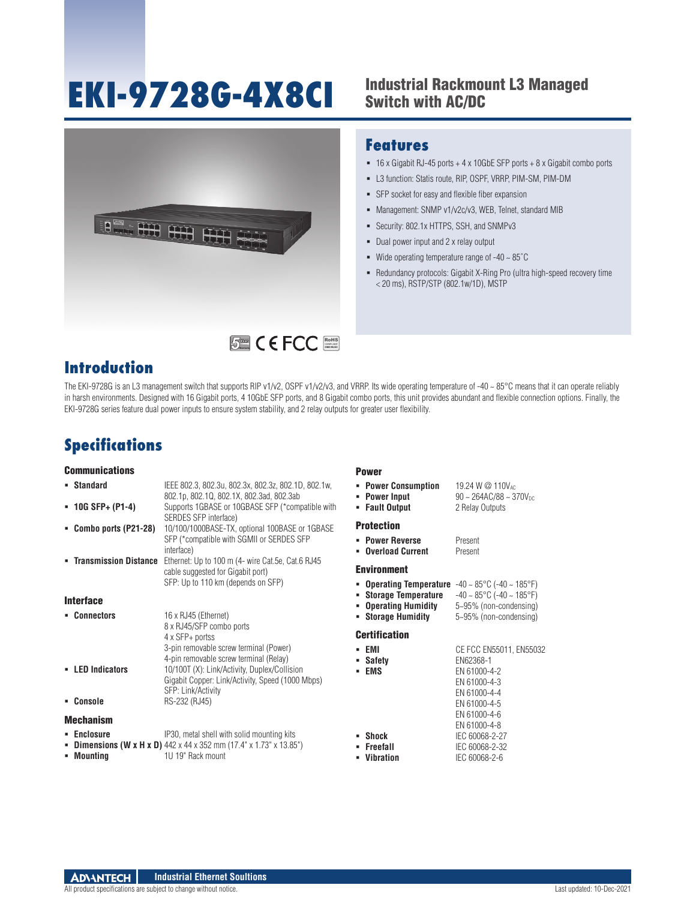# **EKI-9728G-4X8CI**

## Industrial Rackmount L3 Managed Switch with AC/DC



## **Features**

- 16 x Gigabit RJ-45 ports + 4 x 10GbE SFP ports + 8 x Gigabit combo ports
- L3 function: Statis route, RIP, OSPF, VRRP, PIM-SM, PIM-DM
- SFP socket for easy and flexible fiber expansion
- Management: SNMP v1/v2c/v3, WEB, Telnet, standard MIB
- Security: 802.1x HTTPS, SSH, and SNMPv3
- Dual power input and 2 x relay output
- $\blacksquare$  Wide operating temperature range of -40  $\sim 85^{\circ}$ C
- Redundancy protocols: Gigabit X-Ring Pro (ultra high-speed recovery time < 20 ms), RSTP/STP (802.1w/1D), MSTP

## **Introduction**

The EKI-9728G is an L3 management switch that supports RIP v1/v2, OSPF v1/v2/v3, and VRRP. Its wide operating temperature of -40 ~ 85°C means that it can operate reliably in harsh environments. Designed with 16 Gigabit ports, 4 10GbE SFP ports, and 8 Gigabit combo ports, this unit provides abundant and flexible connection options. Finally, the EKI-9728G series feature dual power inputs to ensure system stability, and 2 relay outputs for greater user flexibility.

# **Specifications**

#### **Communications**

| • Standard                     | IEEE 802.3, 802.3u, 802.3x, 802.3z, 802.1D, 802.1w,<br>802.1p, 802.1Q, 802.1X, 802.3ad, 802.3ab | • Power Consumption<br><b>Power Input</b><br>٠                                        | 19.24 W @ 110V <sub>AC</sub><br>$90 \sim 264AC/88 \sim 370V_{DC}$ |
|--------------------------------|-------------------------------------------------------------------------------------------------|---------------------------------------------------------------------------------------|-------------------------------------------------------------------|
| $\blacksquare$ 10G SFP+ (P1-4) | Supports 1GBASE or 10GBASE SFP (*compatible with<br>SERDES SFP interface)                       | • Fault Output                                                                        | 2 Relay Outputs                                                   |
| " Combo ports (P21-28)         | 10/100/1000BASE-TX, optional 100BASE or 1GBASE                                                  | <b>Protection</b>                                                                     |                                                                   |
|                                | SFP (*compatible with SGMII or SERDES SFP                                                       | • Power Reverse                                                                       | Present                                                           |
|                                | interface)                                                                                      | <b>Overload Current</b>                                                               | Present                                                           |
| • Transmission Distance        | Ethernet: Up to 100 m (4- wire Cat.5e, Cat.6 RJ45                                               |                                                                                       |                                                                   |
|                                | cable suggested for Gigabit port)                                                               | <b>Environment</b>                                                                    |                                                                   |
|                                | SFP: Up to 110 km (depends on SFP)                                                              | <b>Operating Temperature</b> $-40 \sim 85^{\circ}$ C ( $-40 \sim 185^{\circ}$ F)<br>٠ |                                                                   |
| <b>Interface</b>               |                                                                                                 | <b>Storage Temperature</b>                                                            | $-40 \sim 85^{\circ}$ C (-40 ~ 185°F)                             |
|                                |                                                                                                 | <b>Operating Humidity</b>                                                             | 5~95% (non-condensing)                                            |
| • Connectors                   | 16 x RJ45 (Ethernet)                                                                            | • Storage Humidity                                                                    | 5~95% (non-condensing)                                            |
|                                | 8 x RJ45/SFP combo ports                                                                        | <b>Certification</b>                                                                  |                                                                   |
|                                | 4 x SFP+ portss                                                                                 |                                                                                       |                                                                   |
|                                | 3-pin removable screw terminal (Power)                                                          | EMI                                                                                   | CE FCC EN55011, EN55032                                           |
|                                | 4-pin removable screw terminal (Relay)                                                          | • Safety                                                                              | EN62368-1                                                         |
| • LED Indicators               | 10/100T (X): Link/Activity, Duplex/Collision                                                    | EMS<br>٠                                                                              | EN 61000-4-2                                                      |
|                                | Gigabit Copper: Link/Activity, Speed (1000 Mbps)                                                |                                                                                       | EN 61000-4-3                                                      |
|                                | SFP: Link/Activity                                                                              |                                                                                       | EN 61000-4-4                                                      |
| • Console                      | RS-232 (RJ45)                                                                                   |                                                                                       | EN 61000-4-5                                                      |
| <b>Mechanism</b>               |                                                                                                 |                                                                                       | EN 61000-4-6                                                      |
|                                |                                                                                                 |                                                                                       | EN 61000-4-8                                                      |
| • Enclosure                    | IP30, metal shell with solid mounting kits                                                      | Shock                                                                                 | IEC 60068-2-27                                                    |
|                                | <b>- Dimensions (W x H x D)</b> 442 x 44 x 352 mm (17.4" x 1.73" x 13.85")                      | Freefall                                                                              | IEC 60068-2-32                                                    |
| • Mounting                     | 1U 19" Rack mount                                                                               | Vibration                                                                             | IEC 60068-2-6                                                     |

## Power

| <b>• Operating Temperature</b> $-40 \sim 85^{\circ}$ C ( $-40 \sim 185^{\circ}$ F) |                                                     |
|------------------------------------------------------------------------------------|-----------------------------------------------------|
| • Storage Temperature                                                              | $-40 \sim 85^{\circ}$ C ( $-40 \sim 185^{\circ}$ F) |
| • Operating Humidity                                                               | 5~95% (non-condensing)                              |
| • Storage Humidity                                                                 | 5~95% (non-condensing)                              |

| ADVANTECH | Industrial Ethernet Soultions |
|-----------|-------------------------------|